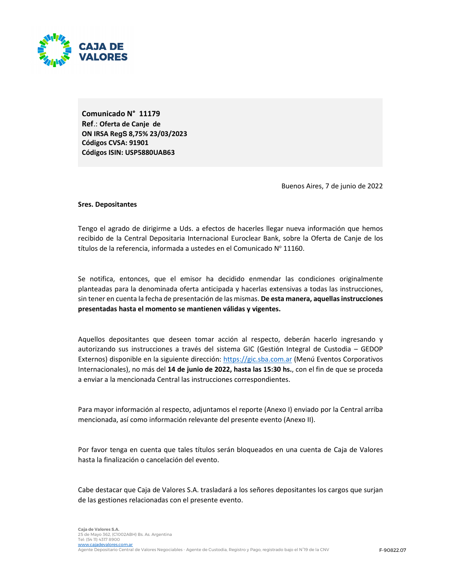

Comunicado N° 11179 Ref.: Oferta de Canje de ON IRSA Re**gS** 8,75% 23/03/2023 Códigos CVSA: 91901 Códigos ISIN: USP5880UAB63

Buenos Aires, 7 de junio de 2022

### Sres. Depositantes

Tengo el agrado de dirigirme a Uds. a efectos de hacerles llegar nueva información que hemos recibido de la Central Depositaria Internacional Euroclear Bank, sobre la Oferta de Canje de los títulos de la referencia, informada a ustedes en el Comunicado Nº 11160.

Se notifica, entonces, que el emisor ha decidido enmendar las condiciones originalmente planteadas para la denominada oferta anticipada y hacerlas extensivas a todas las instrucciones, sin tener en cuenta la fecha de presentación de las mismas. De esta manera, aquellas instrucciones presentadas hasta el momento se mantienen válidas y vigentes.

Aquellos depositantes que deseen tomar acción al respecto, deberán hacerlo ingresando y autorizando sus instrucciones a través del sistema GIC (Gestión Integral de Custodia – GEDOP Externos) disponible en la siguiente dirección: https://gic.sba.com.ar (Menú Eventos Corporativos Internacionales), no más del 14 de junio de 2022, hasta las 15:30 hs., con el fin de que se proceda a enviar a la mencionada Central las instrucciones correspondientes.

Para mayor información al respecto, adjuntamos el reporte (Anexo I) enviado por la Central arriba mencionada, así como información relevante del presente evento (Anexo II).

Por favor tenga en cuenta que tales títulos serán bloqueados en una cuenta de Caja de Valores hasta la finalización o cancelación del evento.

Cabe destacar que Caja de Valores S.A. trasladará a los señores depositantes los cargos que surjan de las gestiones relacionadas con el presente evento.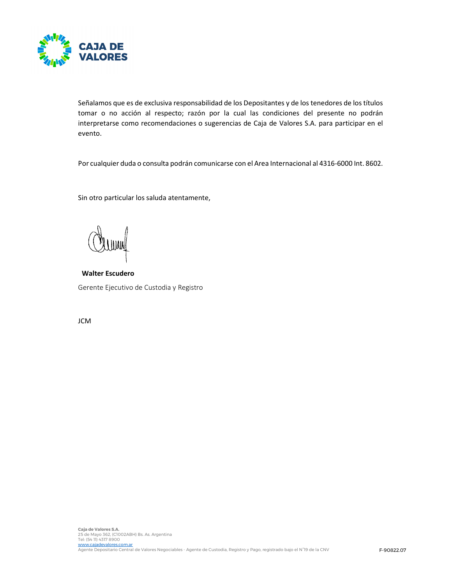

Señalamos que es de exclusiva responsabilidad de los Depositantes y de los tenedores de los títulos tomar o no acción al respecto; razón por la cual las condiciones del presente no podrán interpretarse como recomendaciones o sugerencias de Caja de Valores S.A. para participar en el evento.

Por cualquier duda o consulta podrán comunicarse con el Area Internacional al 4316-6000 Int. 8602.

Sin otro particular los saluda atentamente,

Walter Escudero Gerente Ejecutivo de Custodia y Registro

JCM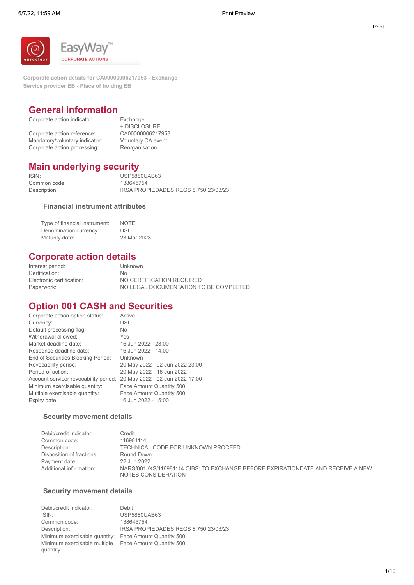

**Corporate action details for CA00000006217953 - Exchange Service provider EB - Place of holding EB**

# **General information**

| Corporate action indicator:    | Exchange           |
|--------------------------------|--------------------|
|                                | + DISCLOSURE       |
| Corporate action reference:    | CA00000006217953   |
| Mandatory/voluntary indicator: | Voluntary CA event |
| Corporate action processing:   | Reorganisation     |

# + DISCLOSURE

# **Main underlying security**

ISIN: USP5880UAB63 Common code: 138645754<br>Description: IRSA PRO

IRSA PROPIEDADES REGS 8.750 23/03/23

### **Financial instrument attributes**

| Type of financial instrument: | <b>NOTE</b> |
|-------------------------------|-------------|
| Denomination currency:        | USD.        |
| Maturity date:                | 23 Mar 2023 |

# **Corporate action details**

| Interest period:          | Unknown                                |
|---------------------------|----------------------------------------|
| Certification:            | No.                                    |
| Electronic certification: | NO CERTIFICATION REQUIRED              |
| Paperwork:                | NO LEGAL DOCUMENTATION TO BE COMPLETED |

# **Option 001 CASH and Securities**

| Corporate action option status:       | Active                          |
|---------------------------------------|---------------------------------|
| Currency:                             | <b>USD</b>                      |
| Default processing flag:              | No.                             |
| Withdrawal allowed:                   | Yes                             |
| Market deadline date:                 | 16 Jun 2022 - 23:00             |
| Response deadline date:               | 16 Jun 2022 - 14:00             |
| End of Securities Blocking Period:    | Unknown                         |
| Revocability period:                  | 20 May 2022 - 02 Jun 2022 23:00 |
| Period of action:                     | 20 May 2022 - 16 Jun 2022       |
| Account servicer revocability period: | 20 May 2022 - 02 Jun 2022 17:00 |
| Minimum exercisable quantity:         | Face Amount Quantity 500        |
| Multiple exercisable quantity:        | Face Amount Quantity 500        |
| Expiry date:                          | 16 Jun 2022 - 15:00             |
|                                       |                                 |

### **Security movement details**

| Debit/credit indicator:   | Credit                                                                                                  |
|---------------------------|---------------------------------------------------------------------------------------------------------|
| Common code:              | 116981114                                                                                               |
| Description:              | TECHNICAL CODE FOR UNKNOWN PROCEED                                                                      |
| Disposition of fractions: | Round Down                                                                                              |
| Payment date:             | 22 Jun 2022                                                                                             |
| Additional information:   | NARS/001 /XS/116981114 QIBS: TO EXCHANGE BEFORE EXPIRATIONDATE AND RECEIVE A NEW<br>NOTES CONSIDERATION |

### **Security movement details**

Debit/credit indicator: Debit USP5880UAB63 Common code: 138645754 Description: IRSA PROPIEDADES REGS 8.750 23/03/23 Minimum exercisable quantity: Face Amount Quantity 500 Minimum exercisable multiple Face Amount Quantity 500quantity: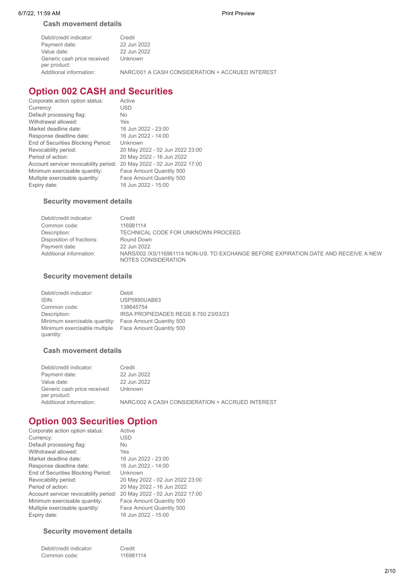### **Cash movement details**

| Debit/credit indicator:                     | Credit                                           |
|---------------------------------------------|--------------------------------------------------|
| Payment date:                               | 22 Jun 2022                                      |
| Value date:                                 | 22 Jun 2022                                      |
| Generic cash price received<br>per product: | Unknown                                          |
| Additional information:                     | NARC/001 A CASH CONSIDERATION + ACCRUED INTEREST |

# **Option 002 CASH and Securities**

| Corporate action option status:       | Active                          |
|---------------------------------------|---------------------------------|
| Currency:                             | USD                             |
| Default processing flag:              | <b>No</b>                       |
| Withdrawal allowed:                   | Yes                             |
| Market deadline date:                 | 16 Jun 2022 - 23:00             |
| Response deadline date:               | 16 Jun 2022 - 14:00             |
| End of Securities Blocking Period:    | Unknown                         |
| Revocability period:                  | 20 May 2022 - 02 Jun 2022 23:00 |
| Period of action:                     | 20 May 2022 - 16 Jun 2022       |
| Account servicer revocability period: | 20 May 2022 - 02 Jun 2022 17:00 |
| Minimum exercisable quantity:         | Face Amount Quantity 500        |
| Multiple exercisable quantity:        | Face Amount Quantity 500        |
| Expiry date:                          | 16 Jun 2022 - 15:00             |

### **Security movement details**

| Debit/credit indicator:   | Credit                                                                                                     |
|---------------------------|------------------------------------------------------------------------------------------------------------|
| Common code:              | 116981114                                                                                                  |
| Description:              | TECHNICAL CODE FOR UNKNOWN PROCEED                                                                         |
| Disposition of fractions: | Round Down                                                                                                 |
| Payment date:             | 22 Jun 2022                                                                                                |
| Additional information:   | NARS/002 /XS/116981114 NON-US: TO EXCHANGE BEFORE EXPIRATION DATE AND RECEIVE A NEW<br>NOTES CONSIDERATION |

### **Security movement details**

| Debit/credit indicator:                   | Debit                                |
|-------------------------------------------|--------------------------------------|
| ISIN:                                     | <b>USP5880UAB63</b>                  |
| Common code:                              | 138645754                            |
| Description:                              | IRSA PROPIEDADES REGS 8.750 23/03/23 |
| Minimum exercisable quantity:             | Face Amount Quantity 500             |
| Minimum exercisable multiple<br>quantity: | Face Amount Quantity 500             |

### **Cash movement details**

| Debit/credit indicator:                     | Credit                                           |
|---------------------------------------------|--------------------------------------------------|
| Payment date:                               | 22 Jun 2022                                      |
| Value date:                                 | 22 Jun 2022                                      |
| Generic cash price received<br>per product: | Unknown                                          |
| Additional information:                     | NARC/002 A CASH CONSIDERATION + ACCRUED INTEREST |

# **Option 003 Securities Option**

| Corporate action option status:       | Active                          |
|---------------------------------------|---------------------------------|
| Currency:                             | <b>USD</b>                      |
| Default processing flag:              | <b>No</b>                       |
| Withdrawal allowed:                   | Yes                             |
| Market deadline date:                 | 16 Jun 2022 - 23:00             |
| Response deadline date:               | 16 Jun 2022 - 14:00             |
| End of Securities Blocking Period:    | Unknown                         |
| Revocability period:                  | 20 May 2022 - 02 Jun 2022 23:00 |
| Period of action:                     | 20 May 2022 - 16 Jun 2022       |
| Account servicer revocability period: | 20 May 2022 - 02 Jun 2022 17:00 |
| Minimum exercisable quantity:         | Face Amount Quantity 500        |
| Multiple exercisable quantity:        | Face Amount Quantity 500        |
| Expiry date:                          | 16 Jun 2022 - 15:00             |
|                                       |                                 |

### **Security movement details**

| Debit/credit indicator: | Credit    |
|-------------------------|-----------|
| Common code:            | 116981114 |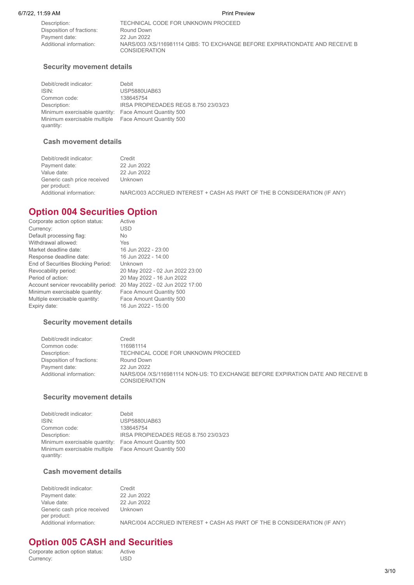Description: TECHNICAL CODE FOR UNKNOWN PROCEED Disposition of fractions: Round Down<br>Payment date: 22 Jun 2022 Payment date:

Additional information: NARS/003 /XS/116981114 QIBS: TO EXCHANGE BEFORE EXPIRATIONDATE AND RECEIVE B **CONSIDERATION** 

### **Security movement details**

Debit/credit indicator: Debit ISIN:<br>ISIN: USP5880UAB63<br>Common code: 138645754 Common code: Description: IRSA PROPIEDADES REGS 8.750 23/03/23 Minimum exercisable quantity: Face Amount Quantity 500 Minimum exercisable multiple Face Amount Quantity 500 quantity:

### **Cash movement details**

| Debit/credit indicator:                     | Credit                                                                   |
|---------------------------------------------|--------------------------------------------------------------------------|
| Payment date:                               | 22 Jun 2022                                                              |
| Value date:                                 | 22 Jun 2022                                                              |
| Generic cash price received<br>per product: | Unknown                                                                  |
| Additional information:                     | NARC/003 ACCRUED INTEREST + CASH AS PART OF THE B CONSIDERATION (IF ANY) |

# **Option 004 Securities Option**

| Corporate action option status:       | Active                          |
|---------------------------------------|---------------------------------|
| Currency:                             | USD                             |
| Default processing flag:              | <b>No</b>                       |
| Withdrawal allowed:                   | Yes                             |
| Market deadline date:                 | 16 Jun 2022 - 23:00             |
| Response deadline date:               | 16 Jun 2022 - 14:00             |
| End of Securities Blocking Period:    | Unknown                         |
| Revocability period:                  | 20 May 2022 - 02 Jun 2022 23:00 |
| Period of action:                     | 20 May 2022 - 16 Jun 2022       |
| Account servicer revocability period: | 20 May 2022 - 02 Jun 2022 17:00 |
| Minimum exercisable quantity:         | Face Amount Quantity 500        |
| Multiple exercisable quantity:        | Face Amount Quantity 500        |
| Expiry date:                          | 16 Jun 2022 - 15:00             |
|                                       |                                 |

### **Security movement details**

| Debit/credit indicator:   | Credit                                                                                           |
|---------------------------|--------------------------------------------------------------------------------------------------|
| Common code:              | 116981114                                                                                        |
| Description:              | TECHNICAL CODE FOR UNKNOWN PROCEED                                                               |
| Disposition of fractions: | Round Down                                                                                       |
| Payment date:             | 22 Jun 2022                                                                                      |
| Additional information:   | NARS/004 /XS/116981114 NON-US: TO EXCHANGE BEFORE EXPIRATION DATE AND RECEIVE B<br>CONSIDERATION |

### **Security movement details**

Debit/credit indicator: Debit ISIN: USP5880UAB63 Common code: 138645754 Description: **IRSA PROPIEDADES REGS 8.750 23/03/23** Minimum exercisable quantity: Face Amount Quantity 500 Minimum exercisable multiple Face Amount Quantity 500 quantity:

### **Cash movement details**

| Debit/credit indicator:                     | Credit                                                                   |
|---------------------------------------------|--------------------------------------------------------------------------|
| Payment date:                               | 22 Jun 2022                                                              |
| Value date:                                 | 22 Jun 2022                                                              |
| Generic cash price received<br>per product: | Unknown                                                                  |
| Additional information:                     | NARC/004 ACCRUED INTEREST + CASH AS PART OF THE B CONSIDERATION (IF ANY) |

# **Option 005 CASH and Securities**<br>Corporate action option status: Active

Corporate action option status: Active<br>Currency: USD Currency:

3/10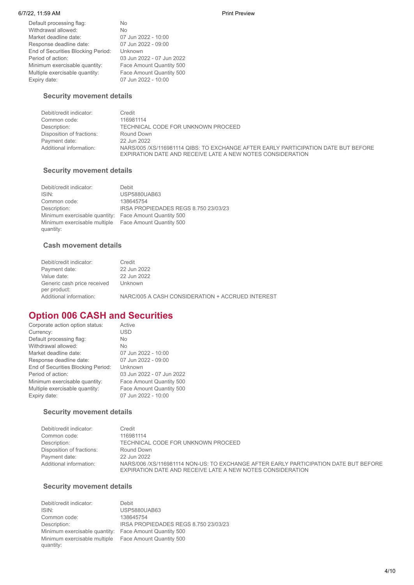### 6/7/22, 11:59 AM Print Preview

Default processing flag: No<br>Withdrawal allowed: No Withdrawal allowed: No Market deadline date: 07 Jun 2022 - 10:00 Response deadline date: 07 Jun 2022 - 09:00 End of Securities Blocking Period: Unknown Period of action: 03 Jun 2022 - 07 Jun 2022 Minimum exercisable quantity: Face Amount Quantity 500 Multiple exercisable quantity: Face Amount Quantity 500 Expiry date: 07 Jun 2022 - 10:00

### **Security movement details**

| Debit/credit indicator:   | Credit                                                                                                                                           |
|---------------------------|--------------------------------------------------------------------------------------------------------------------------------------------------|
| Common code:              | 116981114                                                                                                                                        |
| Description:              | TECHNICAL CODE FOR UNKNOWN PROCEED                                                                                                               |
| Disposition of fractions: | Round Down                                                                                                                                       |
| Payment date:             | 22 Jun 2022                                                                                                                                      |
| Additional information:   | NARS/005 /XS/116981114 QIBS: TO EXCHANGE AFTER EARLY PARTICIPATION DATE BUT BEFORE<br>EXPIRATION DATE AND RECEIVE LATE A NEW NOTES CONSIDERATION |

### **Security movement details**

| Debit/credit indicator:                   | Debit                                |
|-------------------------------------------|--------------------------------------|
| ISIN:                                     | <b>USP5880UAB63</b>                  |
| Common code:                              | 138645754                            |
| Description:                              | IRSA PROPIEDADES REGS 8.750 23/03/23 |
| Minimum exercisable quantity:             | Face Amount Quantity 500             |
| Minimum exercisable multiple<br>quantity: | Face Amount Quantity 500             |

### **Cash movement details**

| Debit/credit indicator:                     | Credit                                           |
|---------------------------------------------|--------------------------------------------------|
| Payment date:                               | 22 Jun 2022                                      |
| Value date:                                 | 22 Jun 2022                                      |
| Generic cash price received<br>per product: | Unknown                                          |
| Additional information:                     | NARC/005 A CASH CONSIDERATION + ACCRUED INTEREST |

# **Option 006 CASH and Securities**

| Corporate action option status:    | Active                    |
|------------------------------------|---------------------------|
| Currency:                          | <b>USD</b>                |
| Default processing flag:           | <b>No</b>                 |
| Withdrawal allowed:                | No                        |
| Market deadline date:              | 07 Jun 2022 - 10:00       |
| Response deadline date:            | 07 Jun 2022 - 09:00       |
| End of Securities Blocking Period: | Unknown                   |
| Period of action:                  | 03 Jun 2022 - 07 Jun 2022 |
| Minimum exercisable quantity:      | Face Amount Quantity 500  |
| Multiple exercisable quantity:     | Face Amount Quantity 500  |
| Expiry date:                       | 07 Jun 2022 - 10:00       |
|                                    |                           |

### **Security movement details**

| Debit/credit indicator:   | Credit                                                                                                                                             |
|---------------------------|----------------------------------------------------------------------------------------------------------------------------------------------------|
| Common code:              | 116981114                                                                                                                                          |
| Description:              | TECHNICAL CODE FOR UNKNOWN PROCEED                                                                                                                 |
| Disposition of fractions: | Round Down                                                                                                                                         |
| Payment date:             | 22 Jun 2022                                                                                                                                        |
| Additional information:   | NARS/006 /XS/116981114 NON-US: TO EXCHANGE AFTER EARLY PARTICIPATION DATE BUT BEFORE<br>EXPIRATION DATE AND RECEIVE LATE A NEW NOTES CONSIDERATION |

### **Security movement details**

| <b>USP5880UAB63</b>                  |
|--------------------------------------|
| 138645754                            |
| IRSA PROPIEDADES REGS 8.750 23/03/23 |
| Face Amount Quantity 500             |
| Face Amount Quantity 500             |
|                                      |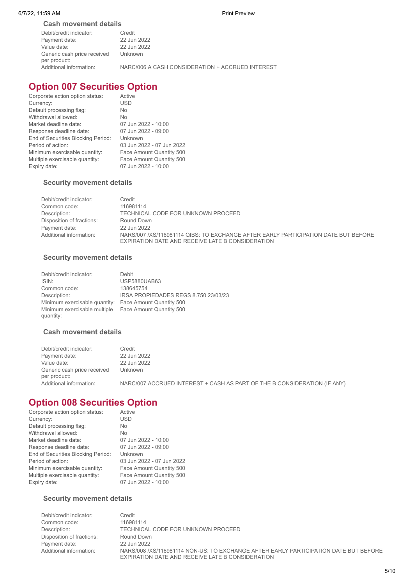### **Cash movement details**

| Debit/credit indicator:                     | Credit                                           |
|---------------------------------------------|--------------------------------------------------|
| Payment date:                               | 22 Jun 2022                                      |
| Value date:                                 | 22 Jun 2022                                      |
| Generic cash price received<br>per product: | Unknown                                          |
| Additional information:                     | NARC/006 A CASH CONSIDERATION + ACCRUED INTEREST |

# **Option 007 Securities Option**

| Corporate action option status:    | Active                    |
|------------------------------------|---------------------------|
| Currency:                          | USD                       |
| Default processing flag:           | No                        |
| Withdrawal allowed:                | <b>No</b>                 |
| Market deadline date:              | 07 Jun 2022 - 10:00       |
| Response deadline date:            | 07 Jun 2022 - 09:00       |
| End of Securities Blocking Period: | Unknown                   |
| Period of action:                  | 03 Jun 2022 - 07 Jun 2022 |
| Minimum exercisable quantity:      | Face Amount Quantity 500  |
| Multiple exercisable quantity:     | Face Amount Quantity 500  |
| Expiry date:                       | 07 Jun 2022 - 10:00       |
|                                    |                           |

### **Security movement details**

| Debit/credit indicator:   | Credit                                                                                                                                 |
|---------------------------|----------------------------------------------------------------------------------------------------------------------------------------|
| Common code:              | 116981114                                                                                                                              |
| Description:              | TECHNICAL CODE FOR UNKNOWN PROCEED                                                                                                     |
| Disposition of fractions: | Round Down                                                                                                                             |
| Payment date:             | 22 Jun 2022                                                                                                                            |
| Additional information:   | NARS/007 /XS/116981114 QIBS: TO EXCHANGE AFTER EARLY PARTICIPATION DATE BUT BEFORE<br>EXPIRATION DATE AND RECEIVE LATE B CONSIDERATION |

### **Security movement details**

| Debit/credit indicator:                   | Debit                                |
|-------------------------------------------|--------------------------------------|
| ISIN:                                     | <b>USP5880UAB63</b>                  |
| Common code:                              | 138645754                            |
| Description:                              | IRSA PROPIEDADES REGS 8.750 23/03/23 |
| Minimum exercisable quantity:             | Face Amount Quantity 500             |
| Minimum exercisable multiple<br>quantity: | Face Amount Quantity 500             |

### **Cash movement details**

| Debit/credit indicator:                     | Credit                                                                   |
|---------------------------------------------|--------------------------------------------------------------------------|
| Payment date:                               | 22 Jun 2022                                                              |
| Value date:                                 | 22 Jun 2022                                                              |
| Generic cash price received<br>per product: | Unknown                                                                  |
| Additional information:                     | NARC/007 ACCRUED INTEREST + CASH AS PART OF THE B CONSIDERATION (IF ANY) |

# **Option 008 Securities Option**

| Active                    |
|---------------------------|
| <b>USD</b>                |
| <b>No</b>                 |
| <b>No</b>                 |
| 07 Jun 2022 - 10:00       |
| 07 Jun 2022 - 09:00       |
| Unknown                   |
| 03 Jun 2022 - 07 Jun 2022 |
| Face Amount Quantity 500  |
| Face Amount Quantity 500  |
| 07 Jun 2022 - 10:00       |
|                           |

### **Security movement details**

| Debit/credit indicator:   | Credit                                                                                                                                   |
|---------------------------|------------------------------------------------------------------------------------------------------------------------------------------|
| Common code:              | 116981114                                                                                                                                |
| Description:              | TECHNICAL CODE FOR UNKNOWN PROCEED                                                                                                       |
| Disposition of fractions: | Round Down                                                                                                                               |
| Payment date:             | 22 Jun 2022                                                                                                                              |
| Additional information:   | NARS/008 /XS/116981114 NON-US: TO EXCHANGE AFTER EARLY PARTICIPATION DATE BUT BEFORE<br>EXPIRATION DATE AND RECEIVE LATE B CONSIDERATION |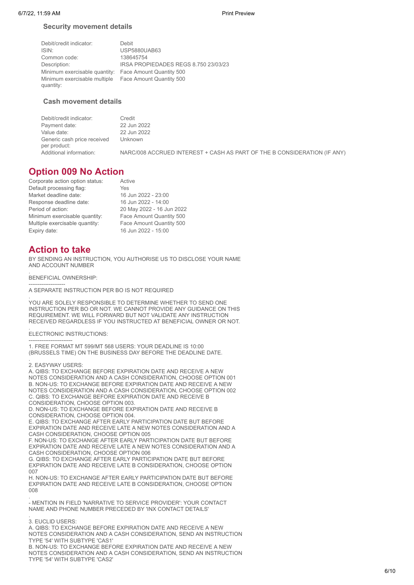### **Security movement details**

| Debit/credit indicator:                   | Debit                                |
|-------------------------------------------|--------------------------------------|
| ISIN:                                     | <b>USP5880UAB63</b>                  |
| Common code:                              | 138645754                            |
| Description:                              | IRSA PROPIEDADES REGS 8.750 23/03/23 |
| Minimum exercisable quantity:             | Face Amount Quantity 500             |
| Minimum exercisable multiple<br>quantity: | Face Amount Quantity 500             |

### **Cash movement details**

| Debit/credit indicator:                     | Credit                                                                   |
|---------------------------------------------|--------------------------------------------------------------------------|
| Payment date:                               | 22 Jun 2022                                                              |
| Value date:                                 | 22 Jun 2022                                                              |
| Generic cash price received<br>per product: | Unknown                                                                  |
| Additional information:                     | NARC/008 ACCRUED INTEREST + CASH AS PART OF THE B CONSIDERATION (IF ANY) |

# **Option 009 No Action**

| Corporate action option status: | Active                    |
|---------------------------------|---------------------------|
| Default processing flag:        | Yes                       |
| Market deadline date:           | 16 Jun 2022 - 23:00       |
| Response deadline date:         | 16 Jun 2022 - 14:00       |
| Period of action:               | 20 May 2022 - 16 Jun 2022 |
| Minimum exercisable quantity:   | Face Amount Quantity 500  |
| Multiple exercisable quantity:  | Face Amount Quantity 500  |
| Expiry date:                    | 16 Jun 2022 - 15:00       |

# **Action to take**

BY SENDING AN INSTRUCTION, YOU AUTHORISE US TO DISCLOSE YOUR NAME AND ACCOUNT NUMBER

. BENEFICIAL OWNERSHIP:

-------------------- A SEPARATE INSTRUCTION PER BO IS NOT REQUIRED

. YOU ARE SOLELY RESPONSIBLE TO DETERMINE WHETHER TO SEND ONE INSTRUCTION PER BO OR NOT. WE CANNOT PROVIDE ANY GUIDANCE ON THIS REQUIREMENT. WE WILL FORWARD BUT NOT VALIDATE ANY INSTRUCTION RECEIVED REGARDLESS IF YOU INSTRUCTED AT BENEFICIAL OWNER OR NOT.

### . ELECTRONIC INSTRUCTIONS:

------------------------ 1. FREE FORMAT MT 599/MT 568 USERS: YOUR DEADLINE IS 10:00 (BRUSSELS TIME) ON THE BUSINESS DAY BEFORE THE DEADLINE DATE.

. 2. EASYWAY USERS:

A. QIBS: TO EXCHANGE BEFORE EXPIRATION DATE AND RECEIVE A NEW NOTES CONSIDERATION AND A CASH CONSIDERATION, CHOOSE OPTION 001 B. NON-US: TO EXCHANGE BEFORE EXPIRATION DATE AND RECEIVE A NEW NOTES CONSIDERATION AND A CASH CONSIDERATION, CHOOSE OPTION 002 C. QIBS: TO EXCHANGE BEFORE EXPIRATION DATE AND RECEIVE B CONSIDERATION, CHOOSE OPTION 003.

D. NON-US: TO EXCHANGE BEFORE EXPIRATION DATE AND RECEIVE B CONSIDERATION, CHOOSE OPTION 004.

E. QIBS: TO EXCHANGE AFTER EARLY PARTICIPATION DATE BUT BEFORE EXPIRATION DATE AND RECEIVE LATE A NEW NOTES CONSIDERATION AND A CASH CONSIDERATION, CHOOSE OPTION 005

F. NON-US: TO EXCHANGE AFTER EARLY PARTICIPATION DATE BUT BEFORE EXPIRATION DATE AND RECEIVE LATE A NEW NOTES CONSIDERATION AND A CASH CONSIDERATION, CHOOSE OPTION 006

G. QIBS: TO EXCHANGE AFTER EARLY PARTICIPATION DATE BUT BEFORE EXPIRATION DATE AND RECEIVE LATE B CONSIDERATION, CHOOSE OPTION 007

H. NON-US: TO EXCHANGE AFTER EARLY PARTICIPATION DATE BUT BEFORE EXPIRATION DATE AND RECEIVE LATE B CONSIDERATION, CHOOSE OPTION  $008$ 

. - MENTION IN FIELD 'NARRATIVE TO SERVICE PROVIDER': YOUR CONTACT NAME AND PHONE NUMBER PRECEDED BY 'INX CONTACT DETAILS'

### . 3. EUCLID USERS:

A. QIBS: TO EXCHANGE BEFORE EXPIRATION DATE AND RECEIVE A NEW NOTES CONSIDERATION AND A CASH CONSIDERATION, SEND AN INSTRUCTION TYPE '54' WITH SUBTYPE 'CAS1'

B. NON-US: TO EXCHANGE BEFORE EXPIRATION DATE AND RECEIVE A NEW NOTES CONSIDERATION AND A CASH CONSIDERATION, SEND AN INSTRUCTION TYPE '54' WITH SUBTYPE 'CAS2'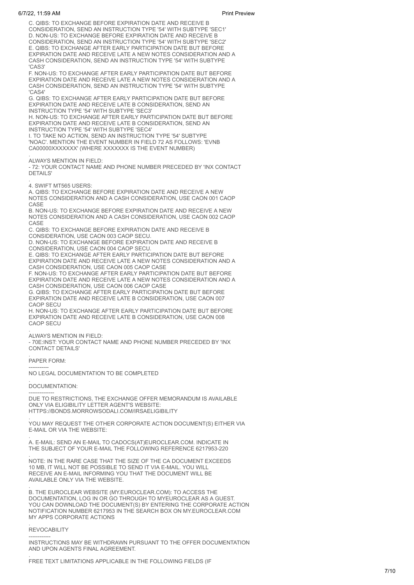### 6/7/22, 11:59 AM Print Preview

C. QIBS: TO EXCHANGE BEFORE EXPIRATION DATE AND RECEIVE B CONSIDERATION, SEND AN INSTRUCTION TYPE '54' WITH SUBTYPE 'SEC1' D. NON-US: TO EXCHANGE BEFORE EXPIRATION DATE AND RECEIVE B CONSIDERATION, SEND AN INSTRUCTION TYPE '54' WITH SUBTYPE 'SEC2' E. QIBS: TO EXCHANGE AFTER EARLY PARTICIPATION DATE BUT BEFORE EXPIRATION DATE AND RECEIVE LATE A NEW NOTES CONSIDERATION AND A CASH CONSIDERATION, SEND AN INSTRUCTION TYPE '54' WITH SUBTYPE 'CAS3'

F. NON-US: TO EXCHANGE AFTER EARLY PARTICIPATION DATE BUT BEFORE EXPIRATION DATE AND RECEIVE LATE A NEW NOTES CONSIDERATION AND A CASH CONSIDERATION, SEND AN INSTRUCTION TYPE '54' WITH SUBTYPE 'CAS4'

G. QIBS: TO EXCHANGE AFTER EARLY PARTICIPATION DATE BUT BEFORE EXPIRATION DATE AND RECEIVE LATE B CONSIDERATION, SEND AN INSTRUCTION TYPE '54' WITH SUBTYPE 'SEC3'

H. NON-US: TO EXCHANGE AFTER EARLY PARTICIPATION DATE BUT BEFORE EXPIRATION DATE AND RECEIVE LATE B CONSIDERATION, SEND AN INSTRUCTION TYPE '54' WITH SUBTYPE 'SEC4'

I. TO TAKE NO ACTION, SEND AN INSTRUCTION TYPE '54' SUBTYPE 'NOAC'. MENTION THE EVENT NUMBER IN FIELD 72 AS FOLLOWS: 'EVNB CA00000XXXXXXX' (WHERE XXXXXXX IS THE EVENT NUMBER)

. ALWAYS MENTION IN FIELD:

- 72: YOUR CONTACT NAME AND PHONE NUMBER PRECEDED BY 'INX CONTACT DETAILS'

. 4. SWIFT MT565 USERS:

A. QIBS: TO EXCHANGE BEFORE EXPIRATION DATE AND RECEIVE A NEW NOTES CONSIDERATION AND A CASH CONSIDERATION, USE CAON 001 CAOP CASE

B. NON-US: TO EXCHANGE BEFORE EXPIRATION DATE AND RECEIVE A NEW NOTES CONSIDERATION AND A CASH CONSIDERATION, USE CAON 002 CAOP CASE

C. QIBS: TO EXCHANGE BEFORE EXPIRATION DATE AND RECEIVE B CONSIDERATION, USE CAON 003 CAOP SECU.

D. NON-US: TO EXCHANGE BEFORE EXPIRATION DATE AND RECEIVE B CONSIDERATION, USE CAON 004 CAOP SECU.

E. QIBS: TO EXCHANGE AFTER EARLY PARTICIPATION DATE BUT BEFORE EXPIRATION DATE AND RECEIVE LATE A NEW NOTES CONSIDERATION AND A CASH CONSIDERATION, USE CAON 005 CAOP CASE

F. NON-US: TO EXCHANGE AFTER EARLY PARTICIPATION DATE BUT BEFORE EXPIRATION DATE AND RECEIVE LATE A NEW NOTES CONSIDERATION AND A CASH CONSIDERATION, USE CAON 006 CAOP CASE

G. QIBS: TO EXCHANGE AFTER EARLY PARTICIPATION DATE BUT BEFORE EXPIRATION DATE AND RECEIVE LATE B CONSIDERATION, USE CAON 007 CAOP SECU

H. NON-US: TO EXCHANGE AFTER EARLY PARTICIPATION DATE BUT BEFORE EXPIRATION DATE AND RECEIVE LATE B CONSIDERATION, USE CAON 008 CAOP SECU

### . ALWAYS MENTION IN FIELD:

- 70E:INST: YOUR CONTACT NAME AND PHONE NUMBER PRECEDED BY 'INX CONTACT DETAILS'

. PAPER FORM:

----------- NO LEGAL DOCUMENTATION TO BE COMPLETED

. DOCUMENTATION:

-------------- DUE TO RESTRICTIONS, THE EXCHANGE OFFER MEMORANDUM IS AVAILABLE ONLY VIA ELIGIBILITY LETTER AGENT'S WEBSITE: HTTPS://BONDS.MORROWSODALI.COM/IRSAELIGIBILITY

. YOU MAY REQUEST THE OTHER CORPORATE ACTION DOCUMENT(S) EITHER VIA E-MAIL OR VIA THE WEBSITE:

. A. E-MAIL: SEND AN E-MAIL TO CADOCS(AT)EUROCLEAR.COM. INDICATE IN THE SUBJECT OF YOUR E-MAIL THE FOLLOWING REFERENCE 6217953-220

. NOTE: IN THE RARE CASE THAT THE SIZE OF THE CA DOCUMENT EXCEEDS 10 MB, IT WILL NOT BE POSSIBLE TO SEND IT VIA E-MAIL. YOU WILL RECEIVE AN E-MAIL INFORMING YOU THAT THE DOCUMENT WILL BE AVAILABLE ONLY VIA THE WEBSITE.

B. THE EUROCLEAR WEBSITE (MY.EUROCLEAR.COM): TO ACCESS THE DOCUMENTATION, LOG IN OR GO THROUGH TO MYEUROCLEAR AS A GUEST. YOU CAN DOWNLOAD THE DOCUMENT(S) BY ENTERING THE CORPORATE ACTION NOTIFICATION NUMBER 6217953 IN THE SEARCH BOX ON MY.EUROCLEAR.COM MY APPS CORPORATE ACTIONS

### . **REVOCABILITY**

.

.

------------ INSTRUCTIONS MAY BE WITHDRAWN PURSUANT TO THE OFFER DOCUMENTATION AND UPON AGENTS FINAL AGREEMENT.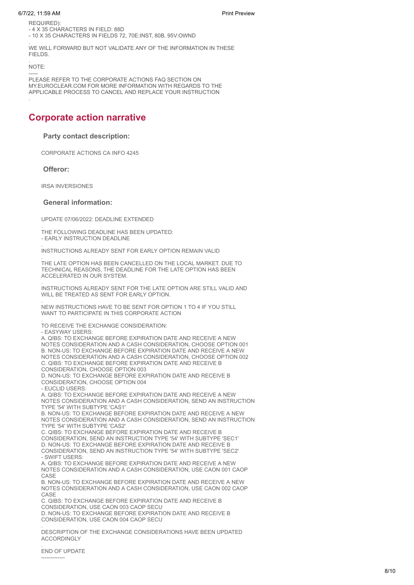### 6/7/22, 11:59 AM Print Preview

REQUIRED):

- 4 X 35 CHARACTERS IN FIFLD: 88D

- 10 X 35 CHARACTERS IN FIELDS 72, 70E:INST, 80B, 95V:OWND

. WE WILL FORWARD BUT NOT VALIDATE ANY OF THE INFORMATION IN THESE FIELDS.

NOTE:

.

.

----- PLEASE REFER TO THE CORPORATE ACTIONS FAQ SECTION ON MY.EUROCLEAR.COM FOR MORE INFORMATION WITH REGARDS TO THE APPLICABLE PROCESS TO CANCEL AND REPLACE YOUR INSTRUCTION

# **Corporate action narrative**

### **Party contact description:**

CORPORATE ACTIONS CA INFO 4245

**Offeror:**

IRSA INVERSIONES

### **General information:**

UPDATE 07/06/2022: DEADLINE EXTENDED

. THE FOLLOWING DEADLINE HAS BEEN UPDATED: - EARLY INSTRUCTION DEADLINE

. INSTRUCTIONS ALREADY SENT FOR EARLY OPTION REMAIN VALID

. THE LATE OPTION HAS BEEN CANCELLED ON THE LOCAL MARKET. DUE TO TECHNICAL REASONS, THE DEADLINE FOR THE LATE OPTION HAS BEEN ACCELERATED IN OUR SYSTEM.

. INSTRUCTIONS ALREADY SENT FOR THE LATE OPTION ARE STILL VALID AND WILL BE TREATED AS SENT FOR FARLY OPTION.

. NEW INSTRUCTIONS HAVE TO BE SENT FOR OPTION 1 TO 4 IF YOU STILL WANT TO PARTICIPATE IN THIS CORPORATE ACTION

. TO RECEIVE THE EXCHANGE CONSIDERATION:

- EASYWAY USERS:

A. QIBS: TO EXCHANGE BEFORE EXPIRATION DATE AND RECEIVE A NEW NOTES CONSIDERATION AND A CASH CONSIDERATION, CHOOSE OPTION 001 B. NON-US: TO EXCHANGE BEFORE EXPIRATION DATE AND RECEIVE A NEW NOTES CONSIDERATION AND A CASH CONSIDERATION, CHOOSE OPTION 002 C. QIBS: TO EXCHANGE BEFORE EXPIRATION DATE AND RECEIVE B CONSIDERATION, CHOOSE OPTION 003

D. NON-US: TO EXCHANGE BEFORE EXPIRATION DATE AND RECEIVE B CONSIDERATION, CHOOSE OPTION 004

- EUCLID USERS:

A. QIBS: TO EXCHANGE BEFORE EXPIRATION DATE AND RECEIVE A NEW NOTES CONSIDERATION AND A CASH CONSIDERATION, SEND AN INSTRUCTION TYPE '54' WITH SUBTYPE 'CAS1'

B. NON-US: TO EXCHANGE BEFORE EXPIRATION DATE AND RECEIVE A NEW NOTES CONSIDERATION AND A CASH CONSIDERATION, SEND AN INSTRUCTION TYPE '54' WITH SUBTYPE 'CAS2'

C. QIBS: TO EXCHANGE BEFORE EXPIRATION DATE AND RECEIVE B CONSIDERATION, SEND AN INSTRUCTION TYPE '54' WITH SUBTYPE 'SEC1' D. NON-US: TO EXCHANGE BEFORE EXPIRATION DATE AND RECEIVE B CONSIDERATION, SEND AN INSTRUCTION TYPE '54' WITH SUBTYPE 'SEC2' - SWIFT USERS:

A. QIBS: TO EXCHANGE BEFORE EXPIRATION DATE AND RECEIVE A NEW NOTES CONSIDERATION AND A CASH CONSIDERATION, USE CAON 001 CAOP CASE

B. NON-US: TO EXCHANGE BEFORE EXPIRATION DATE AND RECEIVE A NEW NOTES CONSIDERATION AND A CASH CONSIDERATION, USE CAON 002 CAOP CASE

C. QIBS: TO EXCHANGE BEFORE EXPIRATION DATE AND RECEIVE B CONSIDERATION, USE CAON 003 CAOP SECU

D. NON-US: TO EXCHANGE BEFORE EXPIRATION DATE AND RECEIVE B

CONSIDERATION, USE CAON 004 CAOP SECU

. DESCRIPTION OF THE EXCHANGE CONSIDERATIONS HAVE BEEN UPDATED **ACCORDINGLY** 

. END OF UPDATE -------------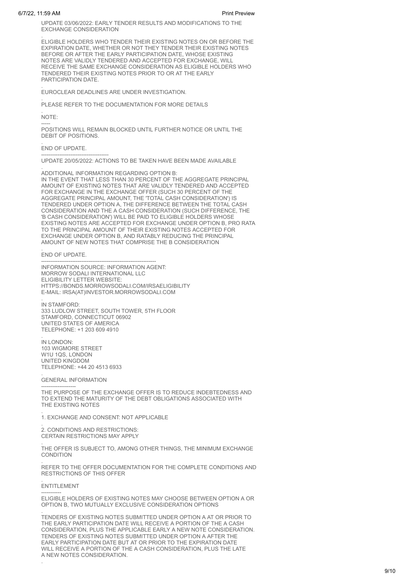UPDATE 03/06/2022: EARLY TENDER RESULTS AND MODIFICATIONS TO THE EXCHANGE CONSIDERATION

. ELIGIBLE HOLDERS WHO TENDER THEIR EXISTING NOTES ON OR BEFORE THE EXPIRATION DATE, WHETHER OR NOT THEY TENDER THEIR EXISTING NOTES BEFORE OR AFTER THE EARLY PARTICIPATION DATE, WHOSE EXISTING NOTES ARE VALIDLY TENDERED AND ACCEPTED FOR EXCHANGE, WILL RECEIVE THE SAME EXCHANGE CONSIDERATION AS ELIGIBLE HOLDERS WHO TENDERED THEIR EXISTING NOTES PRIOR TO OR AT THE EARLY PARTICIPATION DATE.

. EUROCLEAR DEADLINES ARE UNDER INVESTIGATION.

. PLEASE REFER TO THE DOCUMENTATION FOR MORE DETAILS

. NOTE:

----- POSITIONS WILL REMAIN BLOCKED UNTIL FURTHER NOTICE OR UNTIL THE DEBIT OF POSITIONS.

. END OF UPDATE.

------------------------------------- UPDATE 20/05/2022: ACTIONS TO BE TAKEN HAVE BEEN MADE AVAILABLE

. ADDITIONAL INFORMATION REGARDING OPTION B: IN THE EVENT THAT LESS THAN 30 PERCENT OF THE AGGREGATE PRINCIPAL AMOUNT OF EXISTING NOTES THAT ARE VALIDLY TENDERED AND ACCEPTED FOR EXCHANGE IN THE EXCHANGE OFFER (SUCH 30 PERCENT OF THE AGGREGATE PRINCIPAL AMOUNT, THE 'TOTAL CASH CONSIDERATION') IS TENDERED UNDER OPTION A, THE DIFFERENCE BETWEEN THE TOTAL CASH CONSIDERATION AND THE A CASH CONSIDERATION (SUCH DIFFERENCE, THE 'B CASH CONSIDERATION') WILL BE PAID TO ELIGIBLE HOLDERS WHOSE EXISTING NOTES ARE ACCEPTED FOR EXCHANGE UNDER OPTION B, PRO RATA TO THE PRINCIPAL AMOUNT OF THEIR EXISTING NOTES ACCEPTED FOR EXCHANGE UNDER OPTION B, AND RATABLY REDUCING THE PRINCIPAL AMOUNT OF NEW NOTES THAT COMPRISE THE B CONSIDERATION

. END OF UPDATE.

.

.

.

.

.

.

.

--------------------------------------------------------------- INFORMATION SOURCE: INFORMATION AGENT: MORROW SODALI INTERNATIONAL LLC ELIGIBILITY LETTER WEBSITE: HTTPS://BONDS.MORROWSODALI.COM/IRSAELIGIBILITY E-MAIL: IRSA(AT)INVESTOR.MORROWSODALI.COM

IN STAMFORD: 333 LUDLOW STREET, SOUTH TOWER, 5TH FLOOR STAMFORD, CONNECTICUT 06902 UNITED STATES OF AMERICA TELEPHONE: +1 203 609 4910

IN LONDON: 103 WIGMORE STREET W1U 1QS, LONDON UNITED KINGDOM TELEPHONE: +44 20 4513 6933

GENERAL INFORMATION

------------------- THE PURPOSE OF THE EXCHANGE OFFER IS TO REDUCE INDEBTEDNESS AND TO EXTEND THE MATURITY OF THE DEBT OBLIGATIONS ASSOCIATED WITH THE EXISTING NOTES

1. EXCHANGE AND CONSENT: NOT APPLICABLE

2. CONDITIONS AND RESTRICTIONS: CERTAIN RESTRICTIONS MAY APPLY

. THE OFFER IS SUBJECT TO, AMONG OTHER THINGS, THE MINIMUM EXCHANGE **CONDITION** 

. REFER TO THE OFFER DOCUMENTATION FOR THE COMPLETE CONDITIONS AND RESTRICTIONS OF THIS OFFER

. ENTITLEMENT

----------- ELIGIBLE HOLDERS OF EXISTING NOTES MAY CHOOSE BETWEEN OPTION A OR OPTION B, TWO MUTUALLY EXCLUSIVE CONSIDERATION OPTIONS

TENDERS OF EXISTING NOTES SUBMITTED UNDER OPTION A AT OR PRIOR TO THE EARLY PARTICIPATION DATE WILL RECEIVE A PORTION OF THE A CASH CONSIDERATION, PLUS THE APPLICABLE EARLY A NEW NOTE CONSIDERATION. TENDERS OF EXISTING NOTES SUBMITTED UNDER OPTION A AFTER THE EARLY PARTICIPATION DATE BUT AT OR PRIOR TO THE EXPIRATION DATE WILL RECEIVE A PORTION OF THE A CASH CONSIDERATION, PLUS THE LATE A NEW NOTES CONSIDERATION.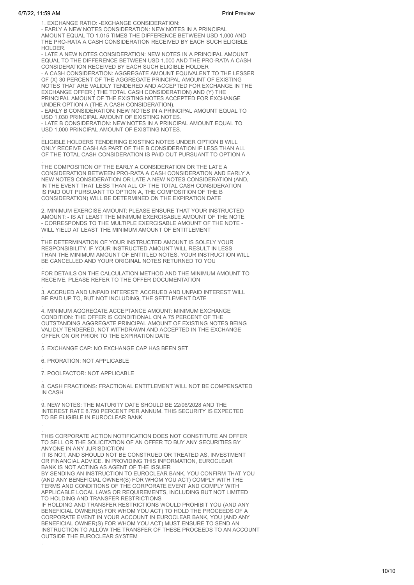1. EXCHANGE RATIO: -EXCHANGE CONSIDERATION:

- EARLY A NEW NOTES CONSIDERATION: NEW NOTES IN A PRINCIPAL AMOUNT EQUAL TO 1.015 TIMES THE DIFFERENCE BETWEEN USD 1,000 AND THE PRO-RATA A CASH CONSIDERATION RECEIVED BY EACH SUCH ELIGIBLE HOLDER.

- LATE A NEW NOTES CONSIDERATION: NEW NOTES IN A PRINCIPAL AMOUNT EQUAL TO THE DIFFERENCE BETWEEN USD 1,000 AND THE PRO-RATA A CASH CONSIDERATION RECEIVED BY EACH SUCH ELIGIBLE HOLDER

- A CASH CONSIDERATION: AGGREGATE AMOUNT EQUIVALENT TO THE LESSER OF (X) 30 PERCENT OF THE AGGREGATE PRINCIPAL AMOUNT OF EXISTING NOTES THAT ARE VALIDLY TENDERED AND ACCEPTED FOR EXCHANGE IN THE EXCHANGE OFFER ( THE TOTAL CASH CONSIDERATION) AND (Y) THE PRINCIPAL AMOUNT OF THE EXISTING NOTES ACCEPTED FOR EXCHANGE UNDER OPTION A (THE A CASH CONSIDERATION).

- EARLY B CONSIDERATION: NEW NOTES IN A PRINCIPAL AMOUNT EQUAL TO USD 1,030 PRINCIPAL AMOUNT OF EXISTING NOTES.

- LATE B CONSIDERATION: NEW NOTES IN A PRINCIPAL AMOUNT EQUAL TO USD 1,000 PRINCIPAL AMOUNT OF EXISTING NOTES.

. ELIGIBLE HOLDERS TENDERING EXISTING NOTES UNDER OPTION B WILL ONLY RECEIVE CASH AS PART OF THE B CONSIDERATION IF LESS THAN ALL OF THE TOTAL CASH CONSIDERATION IS PAID OUT PURSUANT TO OPTION A

. THE COMPOSITION OF THE EARLY A CONSIDERATION OR THE LATE A CONSIDERATION BETWEEN PRO-RATA A CASH CONSIDERATION AND EARLY A NEW NOTES CONSIDERATION OR LATE A NEW NOTES CONSIDERATION (AND, IN THE EVENT THAT LESS THAN ALL OF THE TOTAL CASH CONSIDERATION IS PAID OUT PURSUANT TO OPTION A, THE COMPOSITION OF THE B CONSIDERATION) WILL BE DETERMINED ON THE EXPIRATION DATE

. 2. MINIMUM EXERCISE AMOUNT: PLEASE ENSURE THAT YOUR INSTRUCTED AMOUNT: - IS AT LEAST THE MINIMUM EXERCISABLE AMOUNT OF THE NOTE - CORRESPONDS TO THE MULTIPLE EXERCISABLE AMOUNT OF THE NOTE - WILL YIELD AT LEAST THE MINIMUM AMOUNT OF ENTITLEMENT

. THE DETERMINATION OF YOUR INSTRUCTED AMOUNT IS SOLELY YOUR RESPONSIBILITY. IF YOUR INSTRUCTED AMOUNT WILL RESULT IN LESS THAN THE MINIMUM AMOUNT OF ENTITLED NOTES, YOUR INSTRUCTION WILL BE CANCELLED AND YOUR ORIGINAL NOTES RETURNED TO YOU

. FOR DETAILS ON THE CALCULATION METHOD AND THE MINIMUM AMOUNT TO RECEIVE, PLEASE REFER TO THE OFFER DOCUMENTATION

. 3. ACCRUED AND UNPAID INTEREST: ACCRUED AND UNPAID INTEREST WILL BE PAID UP TO, BUT NOT INCLUDING, THE SETTLEMENT DATE

. 4. MINIMUM AGGREGATE ACCEPTANCE AMOUNT: MINIMUM EXCHANGE CONDITION: THE OFFER IS CONDITIONAL ON A 75 PERCENT OF THE OUTSTANDING AGGREGATE PRINCIPAL AMOUNT OF EXISTING NOTES BEING VALIDLY TENDERED, NOT WITHDRAWN AND ACCEPTED IN THE EXCHANGE OFFER ON OR PRIOR TO THE EXPIRATION DATE

. 5. EXCHANGE CAP: NO EXCHANGE CAP HAS BEEN SET

. 6. PRORATION: NOT APPLICABLE

.

.

. 7. POOLFACTOR: NOT APPLICABLE

. 8. CASH FRACTIONS: FRACTIONAL ENTITLEMENT WILL NOT BE COMPENSATED IN CASH

. 9. NEW NOTES: THE MATURITY DATE SHOULD BE 22/06/2028 AND THE INTEREST RATE 8.750 PERCENT PER ANNUM. THIS SECURITY IS EXPECTED TO BE ELIGIBLE IN EUROCLEAR BANK

. THIS CORPORATE ACTION NOTIFICATION DOES NOT CONSTITUTE AN OFFER TO SELL OR THE SOLICITATION OF AN OFFER TO BUY ANY SECURITIES BY ANYONE IN ANY JURISDICTION

IT IS NOT, AND SHOULD NOT BE CONSTRUED OR TREATED AS, INVESTMENT OR FINANCIAL ADVICE. IN PROVIDING THIS INFORMATION, EUROCLEAR BANK IS NOT ACTING AS AGENT OF THE ISSUER

BY SENDING AN INSTRUCTION TO EUROCLEAR BANK, YOU CONFIRM THAT YOU (AND ANY BENEFICIAL OWNER(S) FOR WHOM YOU ACT) COMPLY WITH THE TERMS AND CONDITIONS OF THE CORPORATE EVENT AND COMPLY WITH APPLICABLE LOCAL LAWS OR REQUIREMENTS, INCLUDING BUT NOT LIMITED TO HOLDING AND TRANSFER RESTRICTIONS

IF HOLDING AND TRANSFER RESTRICTIONS WOULD PROHIBIT YOU (AND ANY BENEFICIAL OWNER(S) FOR WHOM YOU ACT) TO HOLD THE PROCEEDS OF A CORPORATE EVENT IN YOUR ACCOUNT IN EUROCLEAR BANK, YOU (AND ANY BENEFICIAL OWNER(S) FOR WHOM YOU ACT) MUST ENSURE TO SEND AN INSTRUCTION TO ALLOW THE TRANSFER OF THESE PROCEEDS TO AN ACCOUNT OUTSIDE THE EUROCLEAR SYSTEM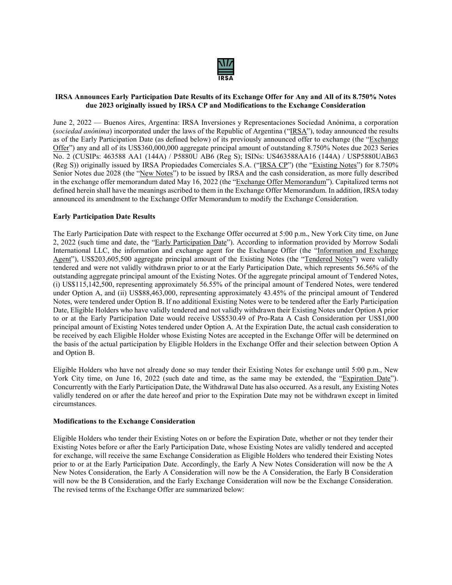

### IRSA Announces Early Participation Date Results of its Exchange Offer for Any and All of its 8.750% Notes due 2023 originally issued by IRSA CP and Modifications to the Exchange Consideration

June 2, 2022 — Buenos Aires, Argentina: IRSA Inversiones y Representaciones Sociedad Anónima, a corporation (sociedad anónima) incorporated under the laws of the Republic of Argentina ("IRSA"), today announced the results as of the Early Participation Date (as defined below) of its previously announced offer to exchange (the "Exchange Offer") any and all of its US\$360,000,000 aggregate principal amount of outstanding 8.750% Notes due 2023 Series No. 2 (CUSIPs: 463588 AA1 (144A) / P5880U AB6 (Reg S); ISINs: US463588AA16 (144A) / USP5880UAB63 (Reg S)) originally issued by IRSA Propiedades Comerciales S.A. ("IRSA CP") (the "Existing Notes") for 8.750% Senior Notes due 2028 (the "New Notes") to be issued by IRSA and the cash consideration, as more fully described in the exchange offer memorandum dated May 16, 2022 (the "Exchange Offer Memorandum"). Capitalized terms not defined herein shall have the meanings ascribed to them in the Exchange Offer Memorandum. In addition, IRSA today announced its amendment to the Exchange Offer Memorandum to modify the Exchange Consideration.

### Early Participation Date Results

The Early Participation Date with respect to the Exchange Offer occurred at 5:00 p.m., New York City time, on June 2, 2022 (such time and date, the "Early Participation Date"). According to information provided by Morrow Sodali International LLC, the information and exchange agent for the Exchange Offer (the "Information and Exchange Agent"), US\$203,605,500 aggregate principal amount of the Existing Notes (the "Tendered Notes") were validly tendered and were not validly withdrawn prior to or at the Early Participation Date, which represents 56.56% of the outstanding aggregate principal amount of the Existing Notes. Of the aggregate principal amount of Tendered Notes, (i) US\$115,142,500, representing approximately 56.55% of the principal amount of Tendered Notes, were tendered under Option A, and (ii) US\$88,463,000, representing approximately 43.45% of the principal amount of Tendered Notes, were tendered under Option B. If no additional Existing Notes were to be tendered after the Early Participation Date, Eligible Holders who have validly tendered and not validly withdrawn their Existing Notes under Option A prior to or at the Early Participation Date would receive US\$530.49 of Pro-Rata A Cash Consideration per US\$1,000 principal amount of Existing Notes tendered under Option A. At the Expiration Date, the actual cash consideration to be received by each Eligible Holder whose Existing Notes are accepted in the Exchange Offer will be determined on the basis of the actual participation by Eligible Holders in the Exchange Offer and their selection between Option A and Option B.

Eligible Holders who have not already done so may tender their Existing Notes for exchange until 5:00 p.m., New York City time, on June 16, 2022 (such date and time, as the same may be extended, the "Expiration Date"). Concurrently with the Early Participation Date, the Withdrawal Date has also occurred. As a result, any Existing Notes validly tendered on or after the date hereof and prior to the Expiration Date may not be withdrawn except in limited circumstances.

### Modifications to the Exchange Consideration

Eligible Holders who tender their Existing Notes on or before the Expiration Date, whether or not they tender their Existing Notes before or after the Early Participation Date, whose Existing Notes are validly tendered and accepted for exchange, will receive the same Exchange Consideration as Eligible Holders who tendered their Existing Notes prior to or at the Early Participation Date. Accordingly, the Early A New Notes Consideration will now be the A New Notes Consideration, the Early A Consideration will now be the A Consideration, the Early B Consideration will now be the B Consideration, and the Early Exchange Consideration will now be the Exchange Consideration. The revised terms of the Exchange Offer are summarized below: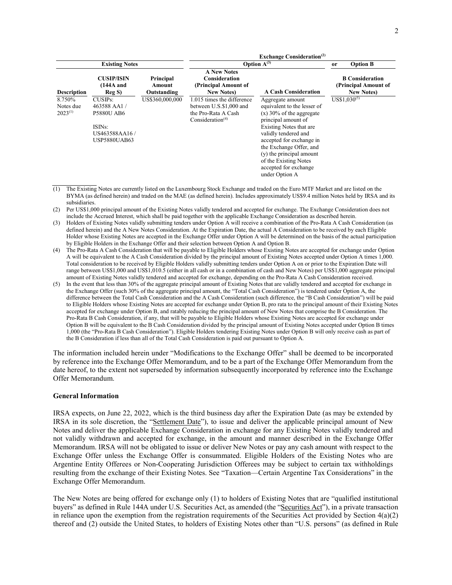|                                     |                                                                                                  |                                    |                                                                                                              | <b>Exchange Consideration</b> <sup>(2)</sup>                                                                                                                                                                                                                                                                   |                 |                                                                      |
|-------------------------------------|--------------------------------------------------------------------------------------------------|------------------------------------|--------------------------------------------------------------------------------------------------------------|----------------------------------------------------------------------------------------------------------------------------------------------------------------------------------------------------------------------------------------------------------------------------------------------------------------|-----------------|----------------------------------------------------------------------|
| <b>Existing Notes</b>               |                                                                                                  | Option $A^{(3)}$                   |                                                                                                              | <b>or</b>                                                                                                                                                                                                                                                                                                      | <b>Option B</b> |                                                                      |
| <b>Description</b>                  | <b>CUSIP/ISIN</b><br>$(144A$ and<br>Reg S)                                                       | Principal<br>Amount<br>Outstanding | <b>A New Notes</b><br><b>Consideration</b><br>(Principal Amount of<br><b>New Notes</b> )                     | <b>A Cash Consideration</b>                                                                                                                                                                                                                                                                                    |                 | <b>B</b> Consideration<br>(Principal Amount of<br><b>New Notes</b> ) |
| 8.750%<br>Notes due<br>$2023^{(1)}$ | $CUSIPs$ :<br>463588 AA1/<br><b>P5880U AB6</b><br>ISINs:<br>US463588AA16/<br><b>USP5880UAB63</b> | US\$360,000,000                    | 1.015 times the difference<br>between U.S.\$1,000 and<br>the Pro-Rata A Cash<br>Consideration <sup>(4)</sup> | Aggregate amount<br>equivalent to the lesser of<br>$(x)$ 30% of the aggregate<br>principal amount of<br>Existing Notes that are<br>validly tendered and<br>accepted for exchange in<br>the Exchange Offer, and<br>(y) the principal amount<br>of the Existing Notes<br>accepted for exchange<br>under Option A |                 | $US$1,030^{(5)}$                                                     |

(1) The Existing Notes are currently listed on the Luxembourg Stock Exchange and traded on the Euro MTF Market and are listed on the BYMA (as defined herein) and traded on the MAE (as defined herein). Includes approximately US\$9.4 million Notes held by IRSA and its subsidiaries.

(2) Per US\$1,000 principal amount of the Existing Notes validly tendered and accepted for exchange. The Exchange Consideration does not include the Accrued Interest, which shall be paid together with the applicable Exchange Consideration as described herein.

- (3) Holders of Existing Notes validly submitting tenders under Option A will receive a combination of the Pro-Rata A Cash Consideration (as defined herein) and the A New Notes Consideration. At the Expiration Date, the actual A Consideration to be received by each Eligible Holder whose Existing Notes are accepted in the Exchange Offer under Option A will be determined on the basis of the actual participation by Eligible Holders in the Exchange Offer and their selection between Option A and Option B.
- (4) The Pro-Rata A Cash Consideration that will be payable to Eligible Holders whose Existing Notes are accepted for exchange under Option A will be equivalent to the A Cash Consideration divided by the principal amount of Existing Notes accepted under Option A times 1,000. Total consideration to be received by Eligible Holders validly submitting tenders under Option A on or prior to the Expiration Date will range between US\$1,000 and US\$1,010.5 (either in all cash or in a combination of cash and New Notes) per US\$1,000 aggregate principal amount of Existing Notes validly tendered and accepted for exchange, depending on the Pro-Rata A Cash Consideration received.
- (5) In the event that less than 30% of the aggregate principal amount of Existing Notes that are validly tendered and accepted for exchange in the Exchange Offer (such 30% of the aggregate principal amount, the "Total Cash Consideration") is tendered under Option A, the difference between the Total Cash Consideration and the A Cash Consideration (such difference, the "B Cash Consideration") will be paid to Eligible Holders whose Existing Notes are accepted for exchange under Option B, pro rata to the principal amount of their Existing Notes accepted for exchange under Option B, and ratably reducing the principal amount of New Notes that comprise the B Consideration. The Pro-Rata B Cash Consideration, if any, that will be payable to Eligible Holders whose Existing Notes are accepted for exchange under Option B will be equivalent to the B Cash Consideration divided by the principal amount of Existing Notes accepted under Option B times 1,000 (the "Pro-Rata B Cash Consideration"). Eligible Holders tendering Existing Notes under Option B will only receive cash as part of the B Consideration if less than all of the Total Cash Consideration is paid out pursuant to Option A.

The information included herein under "Modifications to the Exchange Offer" shall be deemed to be incorporated by reference into the Exchange Offer Memorandum, and to be a part of the Exchange Offer Memorandum from the date hereof, to the extent not superseded by information subsequently incorporated by reference into the Exchange Offer Memorandum.

### General Information

IRSA expects, on June 22, 2022, which is the third business day after the Expiration Date (as may be extended by IRSA in its sole discretion, the "Settlement Date"), to issue and deliver the applicable principal amount of New Notes and deliver the applicable Exchange Consideration in exchange for any Existing Notes validly tendered and not validly withdrawn and accepted for exchange, in the amount and manner described in the Exchange Offer Memorandum. IRSA will not be obligated to issue or deliver New Notes or pay any cash amount with respect to the Exchange Offer unless the Exchange Offer is consummated. Eligible Holders of the Existing Notes who are Argentine Entity Offerees or Non-Cooperating Jurisdiction Offerees may be subject to certain tax withholdings resulting from the exchange of their Existing Notes. See "Taxation—Certain Argentine Tax Considerations" in the Exchange Offer Memorandum.

The New Notes are being offered for exchange only (1) to holders of Existing Notes that are "qualified institutional buyers" as defined in Rule 144A under U.S. Securities Act, as amended (the "Securities Act"), in a private transaction in reliance upon the exemption from the registration requirements of the Securities Act provided by Section  $4(a)(2)$ thereof and (2) outside the United States, to holders of Existing Notes other than "U.S. persons" (as defined in Rule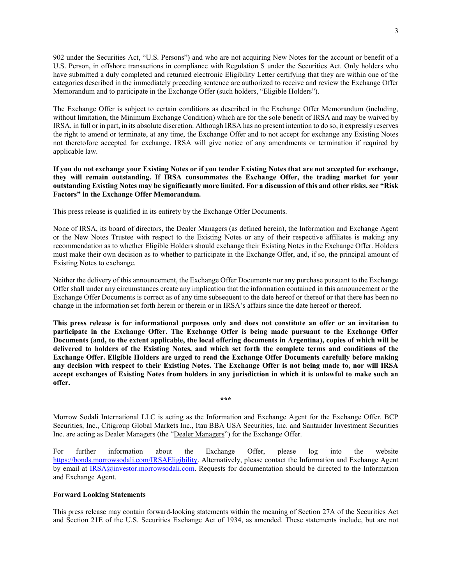902 under the Securities Act, "U.S. Persons") and who are not acquiring New Notes for the account or benefit of a U.S. Person, in offshore transactions in compliance with Regulation S under the Securities Act. Only holders who have submitted a duly completed and returned electronic Eligibility Letter certifying that they are within one of the categories described in the immediately preceding sentence are authorized to receive and review the Exchange Offer Memorandum and to participate in the Exchange Offer (such holders, "Eligible Holders").

The Exchange Offer is subject to certain conditions as described in the Exchange Offer Memorandum (including, without limitation, the Minimum Exchange Condition) which are for the sole benefit of IRSA and may be waived by IRSA, in full or in part, in its absolute discretion. Although IRSA has no present intention to do so, it expressly reserves the right to amend or terminate, at any time, the Exchange Offer and to not accept for exchange any Existing Notes not theretofore accepted for exchange. IRSA will give notice of any amendments or termination if required by applicable law.

If you do not exchange your Existing Notes or if you tender Existing Notes that are not accepted for exchange, they will remain outstanding. If IRSA consummates the Exchange Offer, the trading market for your outstanding Existing Notes may be significantly more limited. For a discussion of this and other risks, see "Risk Factors" in the Exchange Offer Memorandum.

This press release is qualified in its entirety by the Exchange Offer Documents.

None of IRSA, its board of directors, the Dealer Managers (as defined herein), the Information and Exchange Agent or the New Notes Trustee with respect to the Existing Notes or any of their respective affiliates is making any recommendation as to whether Eligible Holders should exchange their Existing Notes in the Exchange Offer. Holders must make their own decision as to whether to participate in the Exchange Offer, and, if so, the principal amount of Existing Notes to exchange.

Neither the delivery of this announcement, the Exchange Offer Documents nor any purchase pursuant to the Exchange Offer shall under any circumstances create any implication that the information contained in this announcement or the Exchange Offer Documents is correct as of any time subsequent to the date hereof or thereof or that there has been no change in the information set forth herein or therein or in IRSA's affairs since the date hereof or thereof.

This press release is for informational purposes only and does not constitute an offer or an invitation to participate in the Exchange Offer. The Exchange Offer is being made pursuant to the Exchange Offer Documents (and, to the extent applicable, the local offering documents in Argentina), copies of which will be delivered to holders of the Existing Notes, and which set forth the complete terms and conditions of the Exchange Offer. Eligible Holders are urged to read the Exchange Offer Documents carefully before making any decision with respect to their Existing Notes. The Exchange Offer is not being made to, nor will IRSA accept exchanges of Existing Notes from holders in any jurisdiction in which it is unlawful to make such an offer.

Morrow Sodali International LLC is acting as the Information and Exchange Agent for the Exchange Offer. BCP Securities, Inc., Citigroup Global Markets Inc., Itau BBA USA Securities, Inc. and Santander Investment Securities Inc. are acting as Dealer Managers (the "Dealer Managers") for the Exchange Offer.

\*\*\*

For further information about the Exchange Offer, please log into the website https://bonds.morrowsodali.com/IRSAEligibility. Alternatively, please contact the Information and Exchange Agent by email at IRSA@investor.morrowsodali.com. Requests for documentation should be directed to the Information and Exchange Agent.

### Forward Looking Statements

This press release may contain forward-looking statements within the meaning of Section 27A of the Securities Act and Section 21E of the U.S. Securities Exchange Act of 1934, as amended. These statements include, but are not